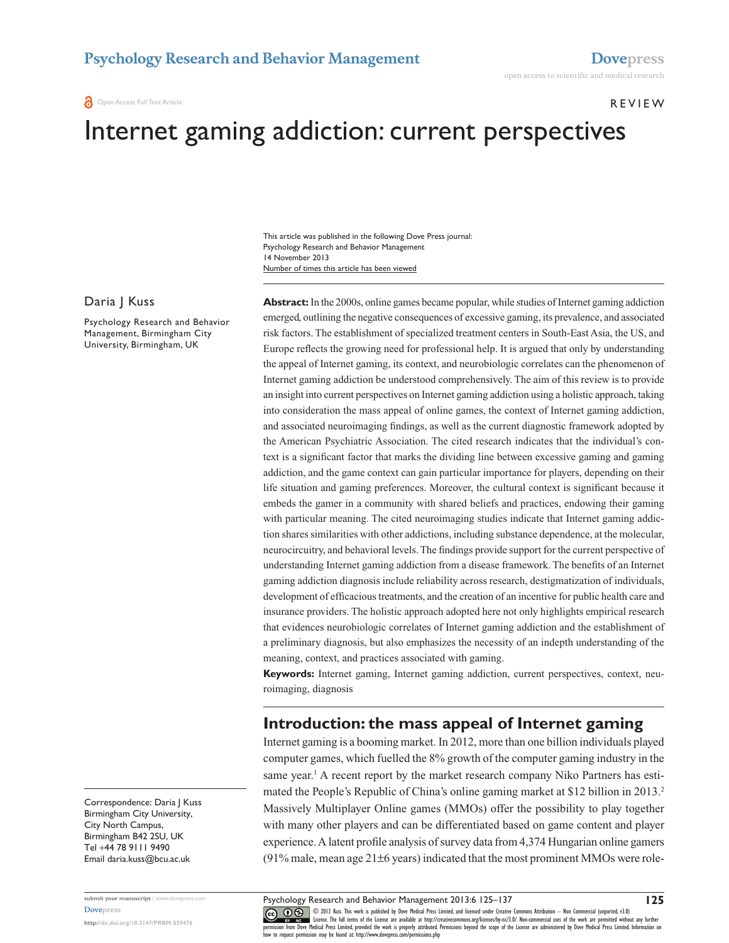**a** Open Access Full Text Article

#### Review

# Internet gaming addiction: current perspectives

Number of times this article has been viewed This article was published in the following Dove Press journal: Psychology Research and Behavior Management 14 November 2013

#### Daria | Kuss

Psychology Research and Behavior Management, Birmingham City University, Birmingham, UK

**Abstract:** In the 2000s, online games became popular, while studies of Internet gaming addiction emerged, outlining the negative consequences of excessive gaming, its prevalence, and associated risk factors. The establishment of specialized treatment centers in South-East Asia, the US, and Europe reflects the growing need for professional help. It is argued that only by understanding the appeal of Internet gaming, its context, and neurobiologic correlates can the phenomenon of Internet gaming addiction be understood comprehensively. The aim of this review is to provide an insight into current perspectives on Internet gaming addiction using a holistic approach, taking into consideration the mass appeal of online games, the context of Internet gaming addiction, and associated neuroimaging findings, as well as the current diagnostic framework adopted by the American Psychiatric Association. The cited research indicates that the individual's context is a significant factor that marks the dividing line between excessive gaming and gaming addiction, and the game context can gain particular importance for players, depending on their life situation and gaming preferences. Moreover, the cultural context is significant because it embeds the gamer in a community with shared beliefs and practices, endowing their gaming with particular meaning. The cited neuroimaging studies indicate that Internet gaming addiction shares similarities with other addictions, including substance dependence, at the molecular, neurocircuitry, and behavioral levels. The findings provide support for the current perspective of understanding Internet gaming addiction from a disease framework. The benefits of an Internet gaming addiction diagnosis include reliability across research, destigmatization of individuals, development of efficacious treatments, and the creation of an incentive for public health care and insurance providers. The holistic approach adopted here not only highlights empirical research that evidences neurobiologic correlates of Internet gaming addiction and the establishment of a preliminary diagnosis, but also emphasizes the necessity of an indepth understanding of the meaning, context, and practices associated with gaming.

**Keywords:** Internet gaming, Internet gaming addiction, current perspectives, context, neuroimaging, diagnosis

## **Introduction: the mass appeal of Internet gaming**

Internet gaming is a booming market. In 2012, more than one billion individuals played computer games, which fuelled the 8% growth of the computer gaming industry in the same year.<sup>1</sup> A recent report by the market research company Niko Partners has estimated the People's Republic of China's online gaming market at \$12 billion in 2013.<sup>2</sup> Massively Multiplayer Online games (MMOs) offer the possibility to play together with many other players and can be differentiated based on game content and player experience. A latent profile analysis of survey data from 4,374 Hungarian online gamers (91% male, mean age 21±6 years) indicated that the most prominent MMOs were role-

Correspondence: Daria | Kuss Birmingham City University, City North Campus, Birmingham B42 2SU, UK Tel +44 78 9111 9490 Email [daria.kuss@bcu.ac.uk](mailto:daria.kuss@bcu.ac.uk)

**submit your manuscript** | <www.dovepress.com> **[Dovepress](www.dovepress.com)**

**<http://dx.doi.org/10.2147/PRBM.S39476>**

**125**

CO OD 13 Kuss. This work is published by Dove Medical Press Limited, and licensed under Creative Commons Attribution - Non Commercial (unported, v3.0)<br> [permission from Dove M](http://www.dovepress.com/permissions.php)edical Press Limited, provided the work is prope how to request permission may be found at: http://www.dovepress.com/permissions.php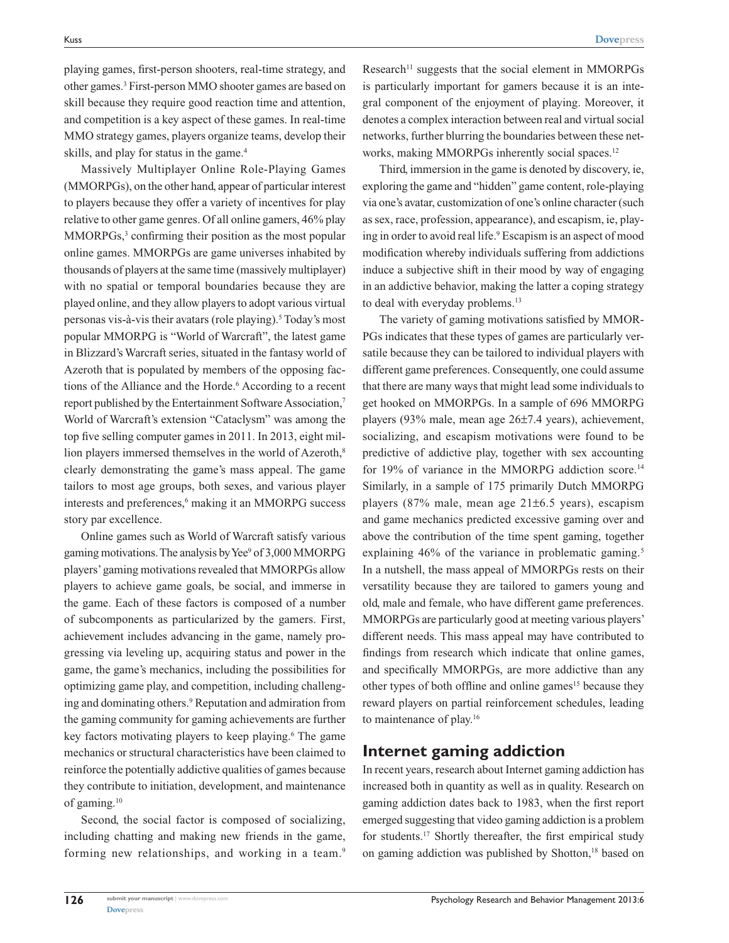playing games, first-person shooters, real-time strategy, and other games.3 First-person MMO shooter games are based on skill because they require good reaction time and attention, and competition is a key aspect of these games. In real-time MMO strategy games, players organize teams, develop their skills, and play for status in the game.<sup>4</sup>

Massively Multiplayer Online Role-Playing Games (MMORPGs), on the other hand, appear of particular interest to players because they offer a variety of incentives for play relative to other game genres. Of all online gamers, 46% play MMORPGs,<sup>3</sup> confirming their position as the most popular online games. MMORPGs are game universes inhabited by thousands of players at the same time (massively multiplayer) with no spatial or temporal boundaries because they are played online, and they allow players to adopt various virtual personas vis-à-vis their avatars (role playing).<sup>5</sup> Today's most popular MMORPG is "World of Warcraft", the latest game in Blizzard's Warcraft series, situated in the fantasy world of Azeroth that is populated by members of the opposing factions of the Alliance and the Horde.<sup>6</sup> According to a recent report published by the Entertainment Software Association,7 World of Warcraft's extension "Cataclysm" was among the top five selling computer games in 2011. In 2013, eight million players immersed themselves in the world of Azeroth,<sup>8</sup> clearly demonstrating the game's mass appeal. The game tailors to most age groups, both sexes, and various player interests and preferences,<sup>6</sup> making it an MMORPG success story par excellence.

Online games such as World of Warcraft satisfy various gaming motivations. The analysis by Yee<sup>9</sup> of 3,000 MMORPG players' gaming motivations revealed that MMORPGs allow players to achieve game goals, be social, and immerse in the game. Each of these factors is composed of a number of subcomponents as particularized by the gamers. First, achievement includes advancing in the game, namely progressing via leveling up, acquiring status and power in the game, the game's mechanics, including the possibilities for optimizing game play, and competition, including challenging and dominating others.<sup>9</sup> Reputation and admiration from the gaming community for gaming achievements are further key factors motivating players to keep playing.<sup>6</sup> The game mechanics or structural characteristics have been claimed to reinforce the potentially addictive qualities of games because they contribute to initiation, development, and maintenance of gaming.10

Second, the social factor is composed of socializing, including chatting and making new friends in the game, forming new relationships, and working in a team.<sup>9</sup> Research<sup> $11$ </sup> suggests that the social element in MMORPGs is particularly important for gamers because it is an integral component of the enjoyment of playing. Moreover, it denotes a complex interaction between real and virtual social networks, further blurring the boundaries between these networks, making MMORPGs inherently social spaces.<sup>12</sup>

Third, immersion in the game is denoted by discovery, ie, exploring the game and "hidden" game content, role-playing via one's avatar, customization of one's online character (such as sex, race, profession, appearance), and escapism, ie, playing in order to avoid real life.<sup>9</sup> Escapism is an aspect of mood modification whereby individuals suffering from addictions induce a subjective shift in their mood by way of engaging in an addictive behavior, making the latter a coping strategy to deal with everyday problems.<sup>13</sup>

The variety of gaming motivations satisfied by MMOR-PGs indicates that these types of games are particularly versatile because they can be tailored to individual players with different game preferences. Consequently, one could assume that there are many ways that might lead some individuals to get hooked on MMORPGs. In a sample of 696 MMORPG players (93% male, mean age 26±7.4 years), achievement, socializing, and escapism motivations were found to be predictive of addictive play, together with sex accounting for 19% of variance in the MMORPG addiction score.<sup>14</sup> Similarly, in a sample of 175 primarily Dutch MMORPG players (87% male, mean age 21±6.5 years), escapism and game mechanics predicted excessive gaming over and above the contribution of the time spent gaming, together explaining 46% of the variance in problematic gaming.<sup>5</sup> In a nutshell, the mass appeal of MMORPGs rests on their versatility because they are tailored to gamers young and old, male and female, who have different game preferences. MMORPGs are particularly good at meeting various players' different needs. This mass appeal may have contributed to findings from research which indicate that online games, and specifically MMORPGs, are more addictive than any other types of both offline and online games<sup>15</sup> because they reward players on partial reinforcement schedules, leading to maintenance of play.<sup>16</sup>

## **Internet gaming addiction**

In recent years, research about Internet gaming addiction has increased both in quantity as well as in quality. Research on gaming addiction dates back to 1983, when the first report emerged suggesting that video gaming addiction is a problem for students.17 Shortly thereafter, the first empirical study on gaming addiction was published by Shotton,<sup>18</sup> based on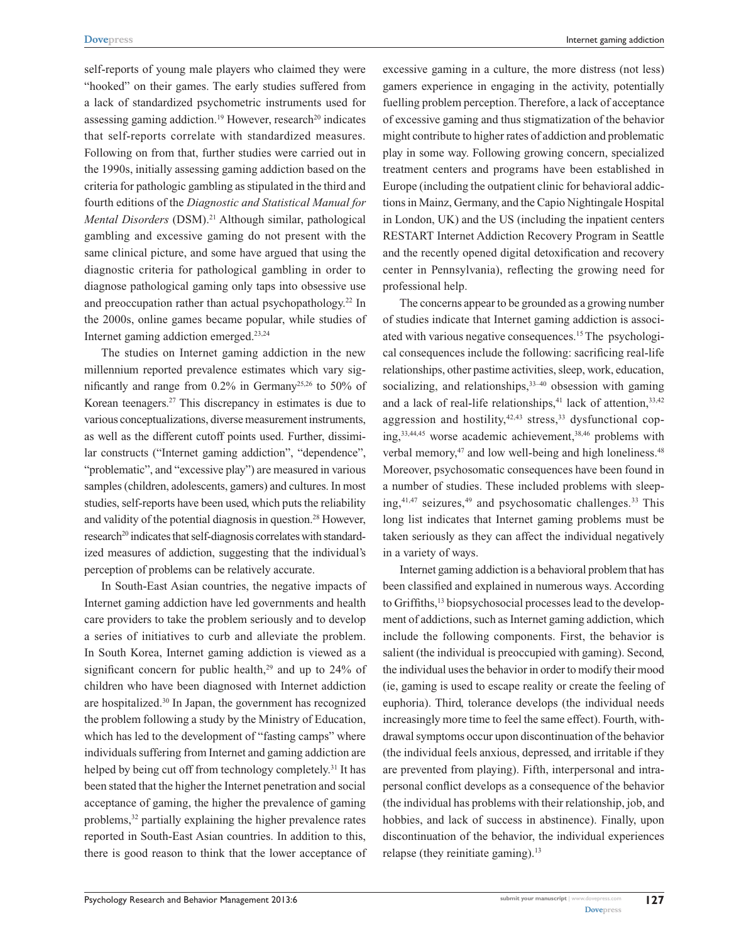self-reports of young male players who claimed they were "hooked" on their games. The early studies suffered from a lack of standardized psychometric instruments used for assessing gaming addiction.<sup>19</sup> However, research<sup>20</sup> indicates that self-reports correlate with standardized measures. Following on from that, further studies were carried out in the 1990s, initially assessing gaming addiction based on the criteria for pathologic gambling as stipulated in the third and fourth editions of the *Diagnostic and Statistical Manual for Mental Disorders* (DSM).<sup>21</sup> Although similar, pathological gambling and excessive gaming do not present with the same clinical picture, and some have argued that using the diagnostic criteria for pathological gambling in order to diagnose pathological gaming only taps into obsessive use and preoccupation rather than actual psychopathology.22 In the 2000s, online games became popular, while studies of Internet gaming addiction emerged.23,24

The studies on Internet gaming addiction in the new millennium reported prevalence estimates which vary significantly and range from 0.2% in Germany25,26 to 50% of Korean teenagers.27 This discrepancy in estimates is due to various conceptualizations, diverse measurement instruments, as well as the different cutoff points used. Further, dissimilar constructs ("Internet gaming addiction", "dependence", "problematic", and "excessive play") are measured in various samples (children, adolescents, gamers) and cultures. In most studies, self-reports have been used, which puts the reliability and validity of the potential diagnosis in question.28 However, research<sup>20</sup> indicates that self-diagnosis correlates with standardized measures of addiction, suggesting that the individual's perception of problems can be relatively accurate.

In South-East Asian countries, the negative impacts of Internet gaming addiction have led governments and health care providers to take the problem seriously and to develop a series of initiatives to curb and alleviate the problem. In South Korea, Internet gaming addiction is viewed as a significant concern for public health,<sup>29</sup> and up to  $24\%$  of children who have been diagnosed with Internet addiction are hospitalized.30 In Japan, the government has recognized the problem following a study by the Ministry of Education, which has led to the development of "fasting camps" where individuals suffering from Internet and gaming addiction are helped by being cut off from technology completely.<sup>31</sup> It has been stated that the higher the Internet penetration and social acceptance of gaming, the higher the prevalence of gaming problems,<sup>32</sup> partially explaining the higher prevalence rates reported in South-East Asian countries. In addition to this, there is good reason to think that the lower acceptance of excessive gaming in a culture, the more distress (not less) gamers experience in engaging in the activity, potentially fuelling problem perception. Therefore, a lack of acceptance of excessive gaming and thus stigmatization of the behavior might contribute to higher rates of addiction and problematic play in some way. Following growing concern, specialized treatment centers and programs have been established in Europe (including the outpatient clinic for behavioral addictions in Mainz, Germany, and the Capio Nightingale Hospital in London, UK) and the US (including the inpatient centers RESTART Internet Addiction Recovery Program in Seattle and the recently opened digital detoxification and recovery center in Pennsylvania), reflecting the growing need for professional help.

The concerns appear to be grounded as a growing number of studies indicate that Internet gaming addiction is associated with various negative consequences.15 The psychological consequences include the following: sacrificing real-life relationships, other pastime activities, sleep, work, education, socializing, and relationships,  $33-40$  obsession with gaming and a lack of real-life relationships,<sup>41</sup> lack of attention,<sup>33,42</sup> aggression and hostility, $42,43$  stress, $33$  dysfunctional coping,33,44,45 worse academic achievement,38,46 problems with verbal memory,<sup>47</sup> and low well-being and high loneliness.<sup>48</sup> Moreover, psychosomatic consequences have been found in a number of studies. These included problems with sleeping,<sup>41,47</sup> seizures,<sup>49</sup> and psychosomatic challenges.<sup>33</sup> This long list indicates that Internet gaming problems must be taken seriously as they can affect the individual negatively in a variety of ways.

Internet gaming addiction is a behavioral problem that has been classified and explained in numerous ways. According to Griffiths,13 biopsychosocial processes lead to the development of addictions, such as Internet gaming addiction, which include the following components. First, the behavior is salient (the individual is preoccupied with gaming). Second, the individual uses the behavior in order to modify their mood (ie, gaming is used to escape reality or create the feeling of euphoria). Third, tolerance develops (the individual needs increasingly more time to feel the same effect). Fourth, withdrawal symptoms occur upon discontinuation of the behavior (the individual feels anxious, depressed, and irritable if they are prevented from playing). Fifth, interpersonal and intrapersonal conflict develops as a consequence of the behavior (the individual has problems with their relationship, job, and hobbies, and lack of success in abstinence). Finally, upon discontinuation of the behavior, the individual experiences relapse (they reinitiate gaming). $13$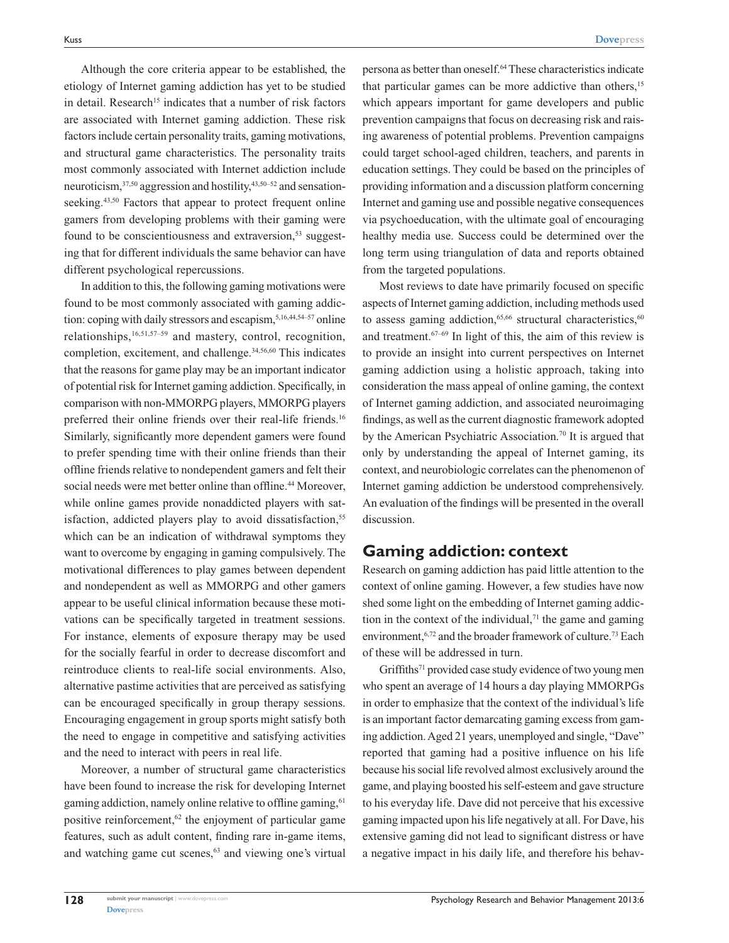Although the core criteria appear to be established, the etiology of Internet gaming addiction has yet to be studied in detail. Research<sup>15</sup> indicates that a number of risk factors are associated with Internet gaming addiction. These risk factors include certain personality traits, gaming motivations, and structural game characteristics. The personality traits most commonly associated with Internet addiction include neuroticism,37,50 aggression and hostility,43,50–52 and sensationseeking.<sup>43,50</sup> Factors that appear to protect frequent online gamers from developing problems with their gaming were found to be conscientiousness and extraversion, $53$  suggesting that for different individuals the same behavior can have different psychological repercussions.

In addition to this, the following gaming motivations were found to be most commonly associated with gaming addiction: coping with daily stressors and escapism,<sup>5,16,44,54-57</sup> online relationships, $16,51,57-59$  and mastery, control, recognition, completion, excitement, and challenge.<sup>34,56,60</sup> This indicates that the reasons for game play may be an important indicator of potential risk for Internet gaming addiction. Specifically, in comparison with non-MMORPG players, MMORPG players preferred their online friends over their real-life friends.16 Similarly, significantly more dependent gamers were found to prefer spending time with their online friends than their offline friends relative to nondependent gamers and felt their social needs were met better online than offline.<sup>44</sup> Moreover, while online games provide nonaddicted players with satisfaction, addicted players play to avoid dissatisfaction,<sup>55</sup> which can be an indication of withdrawal symptoms they want to overcome by engaging in gaming compulsively. The motivational differences to play games between dependent and nondependent as well as MMORPG and other gamers appear to be useful clinical information because these motivations can be specifically targeted in treatment sessions. For instance, elements of exposure therapy may be used for the socially fearful in order to decrease discomfort and reintroduce clients to real-life social environments. Also, alternative pastime activities that are perceived as satisfying can be encouraged specifically in group therapy sessions. Encouraging engagement in group sports might satisfy both the need to engage in competitive and satisfying activities and the need to interact with peers in real life.

Moreover, a number of structural game characteristics have been found to increase the risk for developing Internet gaming addiction, namely online relative to offline gaming,<sup>61</sup> positive reinforcement, $62$  the enjoyment of particular game features, such as adult content, finding rare in-game items, and watching game cut scenes,<sup>63</sup> and viewing one's virtual

persona as better than oneself.64 These characteristics indicate that particular games can be more addictive than others, $15$ which appears important for game developers and public prevention campaigns that focus on decreasing risk and raising awareness of potential problems. Prevention campaigns could target school-aged children, teachers, and parents in education settings. They could be based on the principles of providing information and a discussion platform concerning Internet and gaming use and possible negative consequences via psychoeducation, with the ultimate goal of encouraging healthy media use. Success could be determined over the long term using triangulation of data and reports obtained from the targeted populations.

Most reviews to date have primarily focused on specific aspects of Internet gaming addiction, including methods used to assess gaming addiction,  $65,66$  structural characteristics,  $60$ and treatment.67–69 In light of this, the aim of this review is to provide an insight into current perspectives on Internet gaming addiction using a holistic approach, taking into consideration the mass appeal of online gaming, the context of Internet gaming addiction, and associated neuroimaging findings, as well as the current diagnostic framework adopted by the American Psychiatric Association.70 It is argued that only by understanding the appeal of Internet gaming, its context, and neurobiologic correlates can the phenomenon of Internet gaming addiction be understood comprehensively. An evaluation of the findings will be presented in the overall discussion.

# **Gaming addiction: context**

Research on gaming addiction has paid little attention to the context of online gaming. However, a few studies have now shed some light on the embedding of Internet gaming addiction in the context of the individual,<sup> $71$ </sup> the game and gaming environment,<sup>6,72</sup> and the broader framework of culture.<sup>73</sup> Each of these will be addressed in turn.

Griffiths<sup>71</sup> provided case study evidence of two young men who spent an average of 14 hours a day playing MMORPGs in order to emphasize that the context of the individual's life is an important factor demarcating gaming excess from gaming addiction. Aged 21 years, unemployed and single, "Dave" reported that gaming had a positive influence on his life because his social life revolved almost exclusively around the game, and playing boosted his self-esteem and gave structure to his everyday life. Dave did not perceive that his excessive gaming impacted upon his life negatively at all. For Dave, his extensive gaming did not lead to significant distress or have a negative impact in his daily life, and therefore his behav-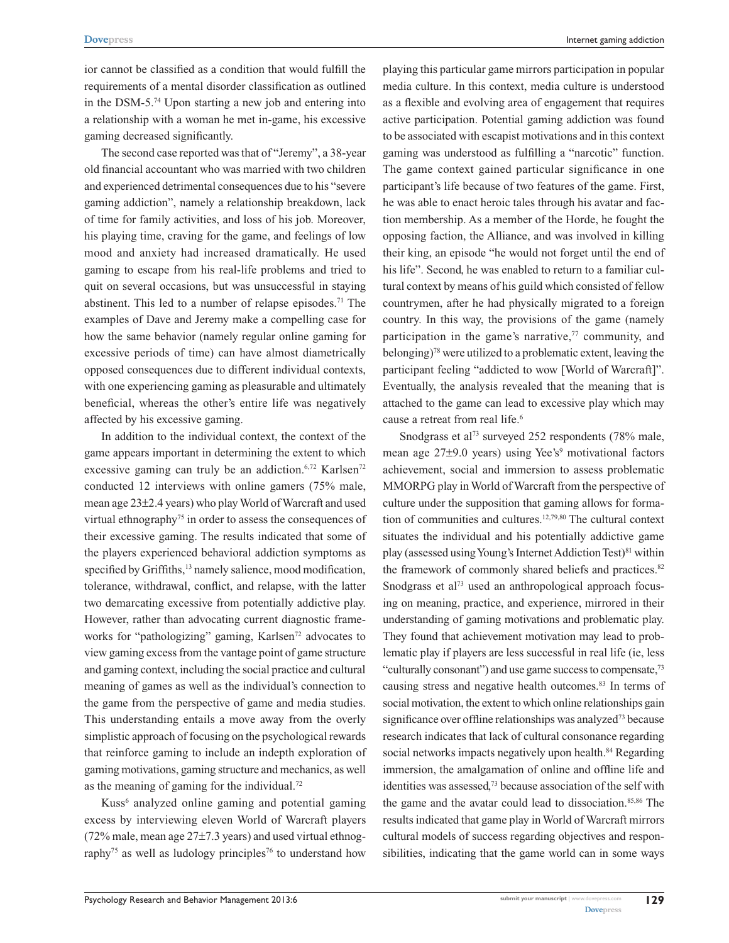ior cannot be classified as a condition that would fulfill the requirements of a mental disorder classification as outlined in the DSM-5.74 Upon starting a new job and entering into a relationship with a woman he met in-game, his excessive gaming decreased significantly.

The second case reported was that of "Jeremy", a 38-year old financial accountant who was married with two children and experienced detrimental consequences due to his "severe gaming addiction", namely a relationship breakdown, lack of time for family activities, and loss of his job. Moreover, his playing time, craving for the game, and feelings of low mood and anxiety had increased dramatically. He used gaming to escape from his real-life problems and tried to quit on several occasions, but was unsuccessful in staying abstinent. This led to a number of relapse episodes.<sup>71</sup> The examples of Dave and Jeremy make a compelling case for how the same behavior (namely regular online gaming for excessive periods of time) can have almost diametrically opposed consequences due to different individual contexts, with one experiencing gaming as pleasurable and ultimately beneficial, whereas the other's entire life was negatively affected by his excessive gaming.

In addition to the individual context, the context of the game appears important in determining the extent to which excessive gaming can truly be an addiction.<sup>6,72</sup> Karlsen<sup>72</sup> conducted 12 interviews with online gamers (75% male, mean age 23±2.4 years) who play World of Warcraft and used virtual ethnography<sup> $75$ </sup> in order to assess the consequences of their excessive gaming. The results indicated that some of the players experienced behavioral addiction symptoms as specified by Griffiths,<sup>13</sup> namely salience, mood modification, tolerance, withdrawal, conflict, and relapse, with the latter two demarcating excessive from potentially addictive play. However, rather than advocating current diagnostic frameworks for "pathologizing" gaming, Karlsen<sup>72</sup> advocates to view gaming excess from the vantage point of game structure and gaming context, including the social practice and cultural meaning of games as well as the individual's connection to the game from the perspective of game and media studies. This understanding entails a move away from the overly simplistic approach of focusing on the psychological rewards that reinforce gaming to include an indepth exploration of gaming motivations, gaming structure and mechanics, as well as the meaning of gaming for the individual.<sup>72</sup>

Kuss<sup>6</sup> analyzed online gaming and potential gaming excess by interviewing eleven World of Warcraft players (72% male, mean age 27±7.3 years) and used virtual ethnography<sup>75</sup> as well as ludology principles<sup>76</sup> to understand how

playing this particular game mirrors participation in popular media culture. In this context, media culture is understood as a flexible and evolving area of engagement that requires active participation. Potential gaming addiction was found to be associated with escapist motivations and in this context gaming was understood as fulfilling a "narcotic" function. The game context gained particular significance in one participant's life because of two features of the game. First, he was able to enact heroic tales through his avatar and faction membership. As a member of the Horde, he fought the opposing faction, the Alliance, and was involved in killing their king, an episode "he would not forget until the end of his life". Second, he was enabled to return to a familiar cultural context by means of his guild which consisted of fellow countrymen, after he had physically migrated to a foreign country. In this way, the provisions of the game (namely participation in the game's narrative, $77$  community, and belonging)78 were utilized to a problematic extent, leaving the participant feeling "addicted to wow [World of Warcraft]". Eventually, the analysis revealed that the meaning that is attached to the game can lead to excessive play which may cause a retreat from real life.<sup>6</sup>

Snodgrass et al<sup>73</sup> surveyed 252 respondents (78% male, mean age 27±9.0 years) using Yee's<sup>9</sup> motivational factors achievement, social and immersion to assess problematic MMORPG play in World of Warcraft from the perspective of culture under the supposition that gaming allows for formation of communities and cultures.<sup>12,79,80</sup> The cultural context situates the individual and his potentially addictive game play (assessed using Young's Internet Addiction Test) $81$  within the framework of commonly shared beliefs and practices.<sup>82</sup> Snodgrass et al<sup>73</sup> used an anthropological approach focusing on meaning, practice, and experience, mirrored in their understanding of gaming motivations and problematic play. They found that achievement motivation may lead to problematic play if players are less successful in real life (ie, less "culturally consonant") and use game success to compensate,73 causing stress and negative health outcomes.<sup>83</sup> In terms of social motivation, the extent to which online relationships gain significance over offline relationships was analyzed<sup>73</sup> because research indicates that lack of cultural consonance regarding social networks impacts negatively upon health.<sup>84</sup> Regarding immersion, the amalgamation of online and offline life and identities was assessed,<sup>73</sup> because association of the self with the game and the avatar could lead to dissociation.<sup>85,86</sup> The results indicated that game play in World of Warcraft mirrors cultural models of success regarding objectives and responsibilities, indicating that the game world can in some ways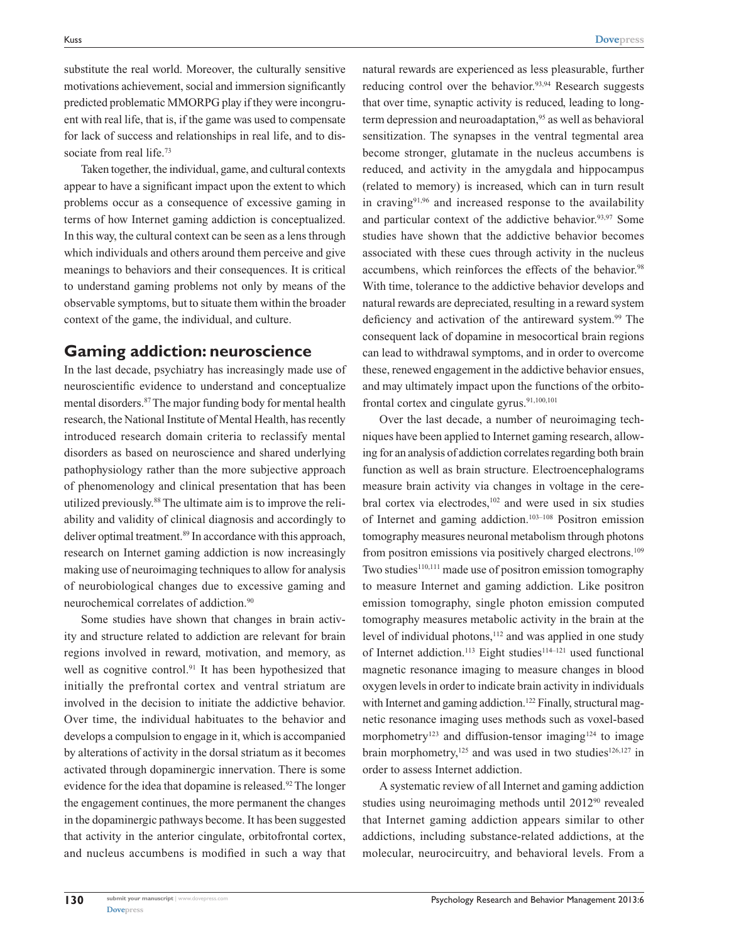substitute the real world. Moreover, the culturally sensitive motivations achievement, social and immersion significantly predicted problematic MMORPG play if they were incongruent with real life, that is, if the game was used to compensate for lack of success and relationships in real life, and to dissociate from real life.<sup>73</sup>

Taken together, the individual, game, and cultural contexts appear to have a significant impact upon the extent to which problems occur as a consequence of excessive gaming in terms of how Internet gaming addiction is conceptualized. In this way, the cultural context can be seen as a lens through which individuals and others around them perceive and give meanings to behaviors and their consequences. It is critical to understand gaming problems not only by means of the observable symptoms, but to situate them within the broader context of the game, the individual, and culture.

### **Gaming addiction: neuroscience**

In the last decade, psychiatry has increasingly made use of neuroscientific evidence to understand and conceptualize mental disorders.87 The major funding body for mental health research, the National Institute of Mental Health, has recently introduced research domain criteria to reclassify mental disorders as based on neuroscience and shared underlying pathophysiology rather than the more subjective approach of phenomenology and clinical presentation that has been utilized previously.88 The ultimate aim is to improve the reliability and validity of clinical diagnosis and accordingly to deliver optimal treatment.<sup>89</sup> In accordance with this approach, research on Internet gaming addiction is now increasingly making use of neuroimaging techniques to allow for analysis of neurobiological changes due to excessive gaming and neurochemical correlates of addiction.<sup>90</sup>

Some studies have shown that changes in brain activity and structure related to addiction are relevant for brain regions involved in reward, motivation, and memory, as well as cognitive control.<sup>91</sup> It has been hypothesized that initially the prefrontal cortex and ventral striatum are involved in the decision to initiate the addictive behavior. Over time, the individual habituates to the behavior and develops a compulsion to engage in it, which is accompanied by alterations of activity in the dorsal striatum as it becomes activated through dopaminergic innervation. There is some evidence for the idea that dopamine is released.<sup>92</sup> The longer the engagement continues, the more permanent the changes in the dopaminergic pathways become. It has been suggested that activity in the anterior cingulate, orbitofrontal cortex, and nucleus accumbens is modified in such a way that

natural rewards are experienced as less pleasurable, further reducing control over the behavior.<sup>93,94</sup> Research suggests that over time, synaptic activity is reduced, leading to longterm depression and neuroadaptation,  $95$  as well as behavioral sensitization. The synapses in the ventral tegmental area become stronger, glutamate in the nucleus accumbens is reduced, and activity in the amygdala and hippocampus (related to memory) is increased, which can in turn result in craving91,96 and increased response to the availability and particular context of the addictive behavior. $93,97$  Some studies have shown that the addictive behavior becomes associated with these cues through activity in the nucleus accumbens, which reinforces the effects of the behavior.<sup>98</sup> With time, tolerance to the addictive behavior develops and natural rewards are depreciated, resulting in a reward system deficiency and activation of the antireward system.<sup>99</sup> The consequent lack of dopamine in mesocortical brain regions can lead to withdrawal symptoms, and in order to overcome these, renewed engagement in the addictive behavior ensues, and may ultimately impact upon the functions of the orbitofrontal cortex and cingulate gyrus.<sup>91,100,101</sup>

Over the last decade, a number of neuroimaging techniques have been applied to Internet gaming research, allowing for an analysis of addiction correlates regarding both brain function as well as brain structure. Electroencephalograms measure brain activity via changes in voltage in the cerebral cortex via electrodes,<sup>102</sup> and were used in six studies of Internet and gaming addiction.103–108 Positron emission tomography measures neuronal metabolism through photons from positron emissions via positively charged electrons.<sup>109</sup> Two studies $110,111$  made use of positron emission tomography to measure Internet and gaming addiction. Like positron emission tomography, single photon emission computed tomography measures metabolic activity in the brain at the level of individual photons,<sup>112</sup> and was applied in one study of Internet addiction.<sup>113</sup> Eight studies<sup>114-121</sup> used functional magnetic resonance imaging to measure changes in blood oxygen levels in order to indicate brain activity in individuals with Internet and gaming addiction.<sup>122</sup> Finally, structural magnetic resonance imaging uses methods such as voxel-based morphometry<sup>123</sup> and diffusion-tensor imaging<sup>124</sup> to image brain morphometry, $125$  and was used in two studies $126,127$  in order to assess Internet addiction.

A systematic review of all Internet and gaming addiction studies using neuroimaging methods until 2012<sup>90</sup> revealed that Internet gaming addiction appears similar to other addictions, including substance-related addictions, at the molecular, neurocircuitry, and behavioral levels. From a

**130**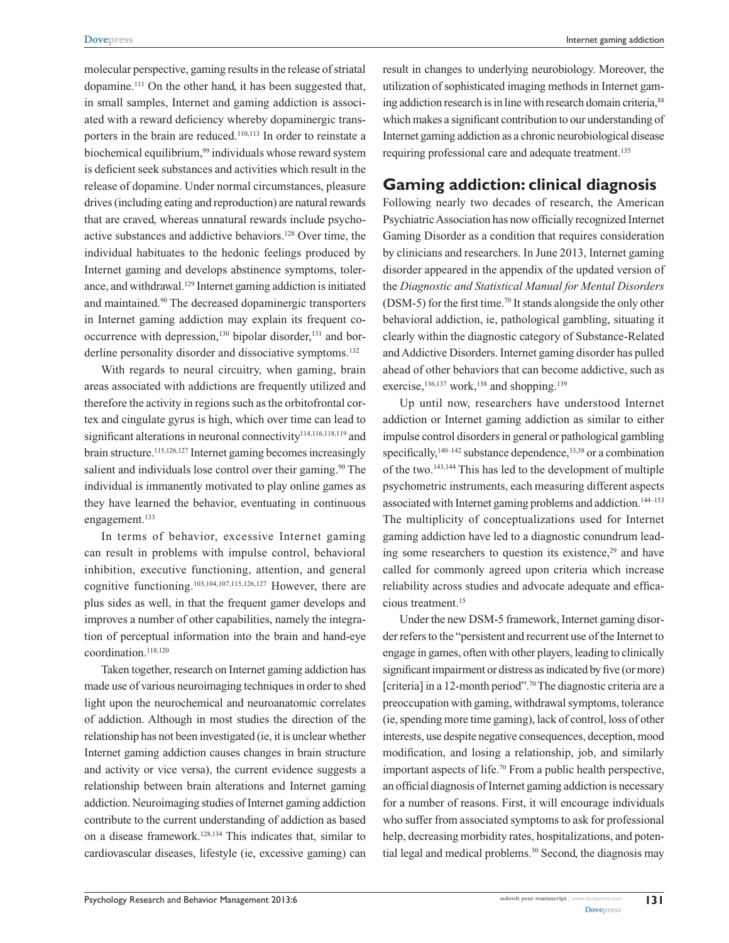molecular perspective, gaming results in the release of striatal dopamine.111 On the other hand, it has been suggested that, in small samples, Internet and gaming addiction is associated with a reward deficiency whereby dopaminergic transporters in the brain are reduced.<sup>110,113</sup> In order to reinstate a biochemical equilibrium,<sup>99</sup> individuals whose reward system is deficient seek substances and activities which result in the release of dopamine. Under normal circumstances, pleasure drives (including eating and reproduction) are natural rewards that are craved, whereas unnatural rewards include psychoactive substances and addictive behaviors.128 Over time, the individual habituates to the hedonic feelings produced by Internet gaming and develops abstinence symptoms, tolerance, and withdrawal.129 Internet gaming addiction is initiated and maintained.<sup>90</sup> The decreased dopaminergic transporters in Internet gaming addiction may explain its frequent cooccurrence with depression,<sup>130</sup> bipolar disorder,<sup>131</sup> and borderline personality disorder and dissociative symptoms.<sup>132</sup>

With regards to neural circuitry, when gaming, brain areas associated with addictions are frequently utilized and therefore the activity in regions such as the orbitofrontal cortex and cingulate gyrus is high, which over time can lead to significant alterations in neuronal connectivity<sup>114,116,118,119</sup> and brain structure.115,126,127 Internet gaming becomes increasingly salient and individuals lose control over their gaming.<sup>90</sup> The individual is immanently motivated to play online games as they have learned the behavior, eventuating in continuous engagement.<sup>133</sup>

In terms of behavior, excessive Internet gaming can result in problems with impulse control, behavioral inhibition, executive functioning, attention, and general cognitive functioning.103,104,107,115,126,127 However, there are plus sides as well, in that the frequent gamer develops and improves a number of other capabilities, namely the integration of perceptual information into the brain and hand-eye coordination.<sup>118,120</sup>

Taken together, research on Internet gaming addiction has made use of various neuroimaging techniques in order to shed light upon the neurochemical and neuroanatomic correlates of addiction. Although in most studies the direction of the relationship has not been investigated (ie, it is unclear whether Internet gaming addiction causes changes in brain structure and activity or vice versa), the current evidence suggests a relationship between brain alterations and Internet gaming addiction. Neuroimaging studies of Internet gaming addiction contribute to the current understanding of addiction as based on a disease framework.128,134 This indicates that, similar to cardiovascular diseases, lifestyle (ie, excessive gaming) can result in changes to underlying neurobiology. Moreover, the utilization of sophisticated imaging methods in Internet gaming addiction research is in line with research domain criteria, <sup>88</sup> which makes a significant contribution to our understanding of Internet gaming addiction as a chronic neurobiological disease requiring professional care and adequate treatment.<sup>135</sup>

# **Gaming addiction: clinical diagnosis**

Following nearly two decades of research, the American Psychiatric Association has now officially recognized Internet Gaming Disorder as a condition that requires consideration by clinicians and researchers. In June 2013, Internet gaming disorder appeared in the appendix of the updated version of the *Diagnostic and Statistical Manual for Mental Disorders* (DSM-5) for the first time.<sup>70</sup> It stands alongside the only other behavioral addiction, ie, pathological gambling, situating it clearly within the diagnostic category of Substance-Related and Addictive Disorders. Internet gaming disorder has pulled ahead of other behaviors that can become addictive, such as exercise, $136,137$  work, $138$  and shopping. $139$ 

Up until now, researchers have understood Internet addiction or Internet gaming addiction as similar to either impulse control disorders in general or pathological gambling specifically,  $140-142$  substance dependence,  $33,38$  or a combination of the two.143,144 This has led to the development of multiple psychometric instruments, each measuring different aspects associated with Internet gaming problems and addiction.<sup>144-153</sup> The multiplicity of conceptualizations used for Internet gaming addiction have led to a diagnostic conundrum leading some researchers to question its existence, $29$  and have called for commonly agreed upon criteria which increase reliability across studies and advocate adequate and efficacious treatment.15

Under the new DSM-5 framework, Internet gaming disorder refers to the "persistent and recurrent use of the Internet to engage in games, often with other players, leading to clinically significant impairment or distress as indicated by five (or more) [criteria] in a 12-month period".70 The diagnostic criteria are a preoccupation with gaming, withdrawal symptoms, tolerance (ie, spending more time gaming), lack of control, loss of other interests, use despite negative consequences, deception, mood modification, and losing a relationship, job, and similarly important aspects of life.70 From a public health perspective, an official diagnosis of Internet gaming addiction is necessary for a number of reasons. First, it will encourage individuals who suffer from associated symptoms to ask for professional help, decreasing morbidity rates, hospitalizations, and potential legal and medical problems.<sup>30</sup> Second, the diagnosis may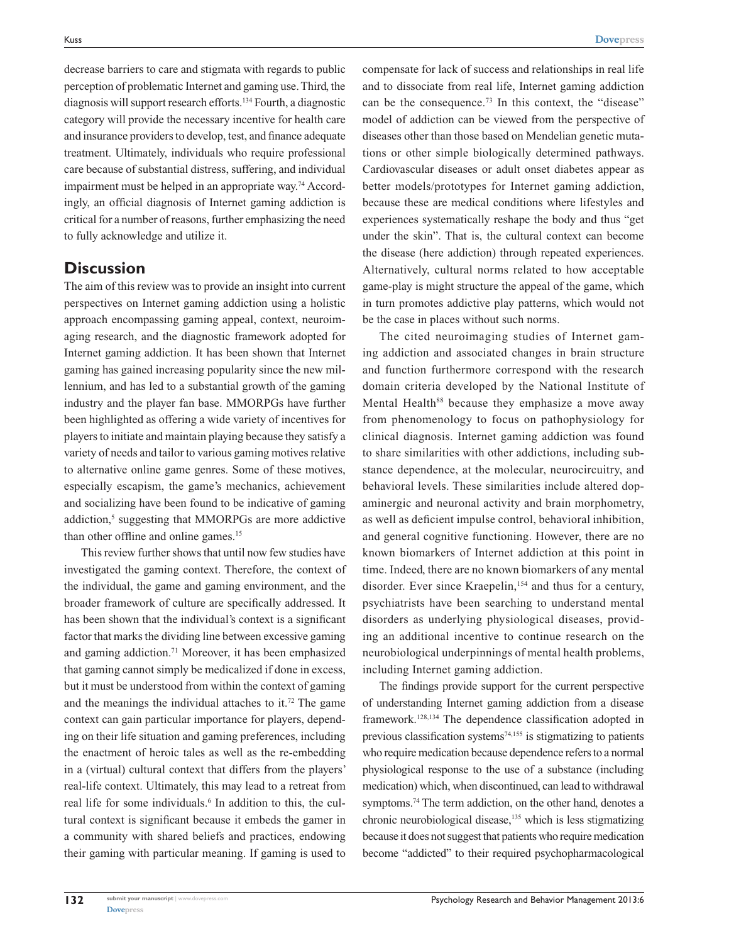decrease barriers to care and stigmata with regards to public perception of problematic Internet and gaming use. Third, the diagnosis will support research efforts.134 Fourth, a diagnostic category will provide the necessary incentive for health care and insurance providers to develop, test, and finance adequate treatment. Ultimately, individuals who require professional care because of substantial distress, suffering, and individual impairment must be helped in an appropriate way.<sup>74</sup> Accordingly, an official diagnosis of Internet gaming addiction is critical for a number of reasons, further emphasizing the need to fully acknowledge and utilize it.

# **Discussion**

The aim of this review was to provide an insight into current perspectives on Internet gaming addiction using a holistic approach encompassing gaming appeal, context, neuroimaging research, and the diagnostic framework adopted for Internet gaming addiction. It has been shown that Internet gaming has gained increasing popularity since the new millennium, and has led to a substantial growth of the gaming industry and the player fan base. MMORPGs have further been highlighted as offering a wide variety of incentives for players to initiate and maintain playing because they satisfy a variety of needs and tailor to various gaming motives relative to alternative online game genres. Some of these motives, especially escapism, the game's mechanics, achievement and socializing have been found to be indicative of gaming addiction,<sup>5</sup> suggesting that MMORPGs are more addictive than other offline and online games.<sup>15</sup>

This review further shows that until now few studies have investigated the gaming context. Therefore, the context of the individual, the game and gaming environment, and the broader framework of culture are specifically addressed. It has been shown that the individual's context is a significant factor that marks the dividing line between excessive gaming and gaming addiction.71 Moreover, it has been emphasized that gaming cannot simply be medicalized if done in excess, but it must be understood from within the context of gaming and the meanings the individual attaches to it.<sup>72</sup> The game context can gain particular importance for players, depending on their life situation and gaming preferences, including the enactment of heroic tales as well as the re-embedding in a (virtual) cultural context that differs from the players' real-life context. Ultimately, this may lead to a retreat from real life for some individuals.<sup>6</sup> In addition to this, the cultural context is significant because it embeds the gamer in a community with shared beliefs and practices, endowing their gaming with particular meaning. If gaming is used to compensate for lack of success and relationships in real life and to dissociate from real life, Internet gaming addiction can be the consequence.<sup>73</sup> In this context, the "disease" model of addiction can be viewed from the perspective of diseases other than those based on Mendelian genetic mutations or other simple biologically determined pathways. Cardiovascular diseases or adult onset diabetes appear as better models/prototypes for Internet gaming addiction, because these are medical conditions where lifestyles and experiences systematically reshape the body and thus "get under the skin". That is, the cultural context can become the disease (here addiction) through repeated experiences. Alternatively, cultural norms related to how acceptable game-play is might structure the appeal of the game, which in turn promotes addictive play patterns, which would not be the case in places without such norms.

The cited neuroimaging studies of Internet gaming addiction and associated changes in brain structure and function furthermore correspond with the research domain criteria developed by the National Institute of Mental Health<sup>88</sup> because they emphasize a move away from phenomenology to focus on pathophysiology for clinical diagnosis. Internet gaming addiction was found to share similarities with other addictions, including substance dependence, at the molecular, neurocircuitry, and behavioral levels. These similarities include altered dopaminergic and neuronal activity and brain morphometry, as well as deficient impulse control, behavioral inhibition, and general cognitive functioning. However, there are no known biomarkers of Internet addiction at this point in time. Indeed, there are no known biomarkers of any mental disorder. Ever since Kraepelin,<sup>154</sup> and thus for a century, psychiatrists have been searching to understand mental disorders as underlying physiological diseases, providing an additional incentive to continue research on the neurobiological underpinnings of mental health problems, including Internet gaming addiction.

The findings provide support for the current perspective of understanding Internet gaming addiction from a disease framework.128,134 The dependence classification adopted in previous classification systems74,155 is stigmatizing to patients who require medication because dependence refers to a normal physiological response to the use of a substance (including medication) which, when discontinued, can lead to withdrawal symptoms.<sup>74</sup> The term addiction, on the other hand, denotes a chronic neurobiological disease,<sup>135</sup> which is less stigmatizing because it does not suggest that patients who require medication become "addicted" to their required psychopharmacological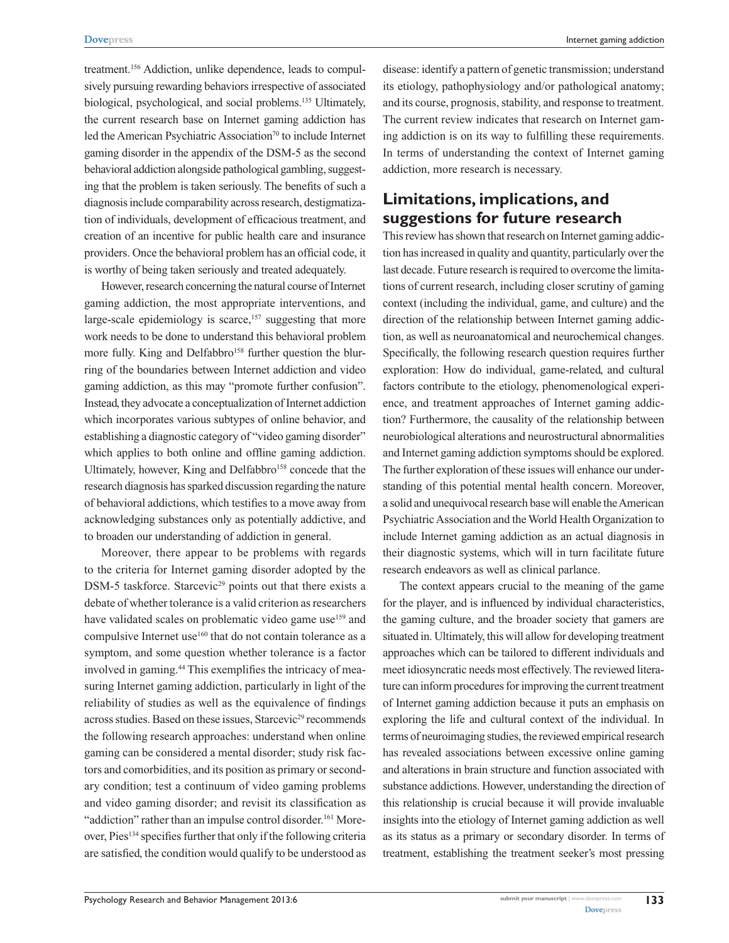treatment.156 Addiction, unlike dependence, leads to compulsively pursuing rewarding behaviors irrespective of associated biological, psychological, and social problems.<sup>135</sup> Ultimately, the current research base on Internet gaming addiction has led the American Psychiatric Association<sup>70</sup> to include Internet gaming disorder in the appendix of the DSM-5 as the second behavioral addiction alongside pathological gambling, suggesting that the problem is taken seriously. The benefits of such a diagnosis include comparability across research, destigmatization of individuals, development of efficacious treatment, and creation of an incentive for public health care and insurance providers. Once the behavioral problem has an official code, it is worthy of being taken seriously and treated adequately.

However, research concerning the natural course of Internet gaming addiction, the most appropriate interventions, and large-scale epidemiology is scarce,<sup>157</sup> suggesting that more work needs to be done to understand this behavioral problem more fully. King and Delfabbro<sup>158</sup> further question the blurring of the boundaries between Internet addiction and video gaming addiction, as this may "promote further confusion". Instead, they advocate a conceptualization of Internet addiction which incorporates various subtypes of online behavior, and establishing a diagnostic category of "video gaming disorder" which applies to both online and offline gaming addiction. Ultimately, however, King and Delfabbro<sup>158</sup> concede that the research diagnosis has sparked discussion regarding the nature of behavioral addictions, which testifies to a move away from acknowledging substances only as potentially addictive, and to broaden our understanding of addiction in general.

Moreover, there appear to be problems with regards to the criteria for Internet gaming disorder adopted by the DSM-5 taskforce. Starcevic<sup>29</sup> points out that there exists a debate of whether tolerance is a valid criterion as researchers have validated scales on problematic video game use<sup>159</sup> and compulsive Internet use<sup>160</sup> that do not contain tolerance as a symptom, and some question whether tolerance is a factor involved in gaming.44 This exemplifies the intricacy of measuring Internet gaming addiction, particularly in light of the reliability of studies as well as the equivalence of findings across studies. Based on these issues, Starcevic<sup>29</sup> recommends the following research approaches: understand when online gaming can be considered a mental disorder; study risk factors and comorbidities, and its position as primary or secondary condition; test a continuum of video gaming problems and video gaming disorder; and revisit its classification as "addiction" rather than an impulse control disorder.<sup>161</sup> Moreover, Pies134 specifies further that only if the following criteria are satisfied, the condition would qualify to be understood as disease: identify a pattern of genetic transmission; understand its etiology, pathophysiology and/or pathological anatomy; and its course, prognosis, stability, and response to treatment. The current review indicates that research on Internet gaming addiction is on its way to fulfilling these requirements. In terms of understanding the context of Internet gaming addiction, more research is necessary.

# **Limitations, implications, and suggestions for future research**

This review has shown that research on Internet gaming addiction has increased in quality and quantity, particularly over the last decade. Future research is required to overcome the limitations of current research, including closer scrutiny of gaming context (including the individual, game, and culture) and the direction of the relationship between Internet gaming addiction, as well as neuroanatomical and neurochemical changes. Specifically, the following research question requires further exploration: How do individual, game-related, and cultural factors contribute to the etiology, phenomenological experience, and treatment approaches of Internet gaming addiction? Furthermore, the causality of the relationship between neurobiological alterations and neurostructural abnormalities and Internet gaming addiction symptoms should be explored. The further exploration of these issues will enhance our understanding of this potential mental health concern. Moreover, a solid and unequivocal research base will enable the American Psychiatric Association and the World Health Organization to include Internet gaming addiction as an actual diagnosis in their diagnostic systems, which will in turn facilitate future research endeavors as well as clinical parlance.

The context appears crucial to the meaning of the game for the player, and is influenced by individual characteristics, the gaming culture, and the broader society that gamers are situated in. Ultimately, this will allow for developing treatment approaches which can be tailored to different individuals and meet idiosyncratic needs most effectively. The reviewed literature can inform procedures for improving the current treatment of Internet gaming addiction because it puts an emphasis on exploring the life and cultural context of the individual. In terms of neuroimaging studies, the reviewed empirical research has revealed associations between excessive online gaming and alterations in brain structure and function associated with substance addictions. However, understanding the direction of this relationship is crucial because it will provide invaluable insights into the etiology of Internet gaming addiction as well as its status as a primary or secondary disorder. In terms of treatment, establishing the treatment seeker's most pressing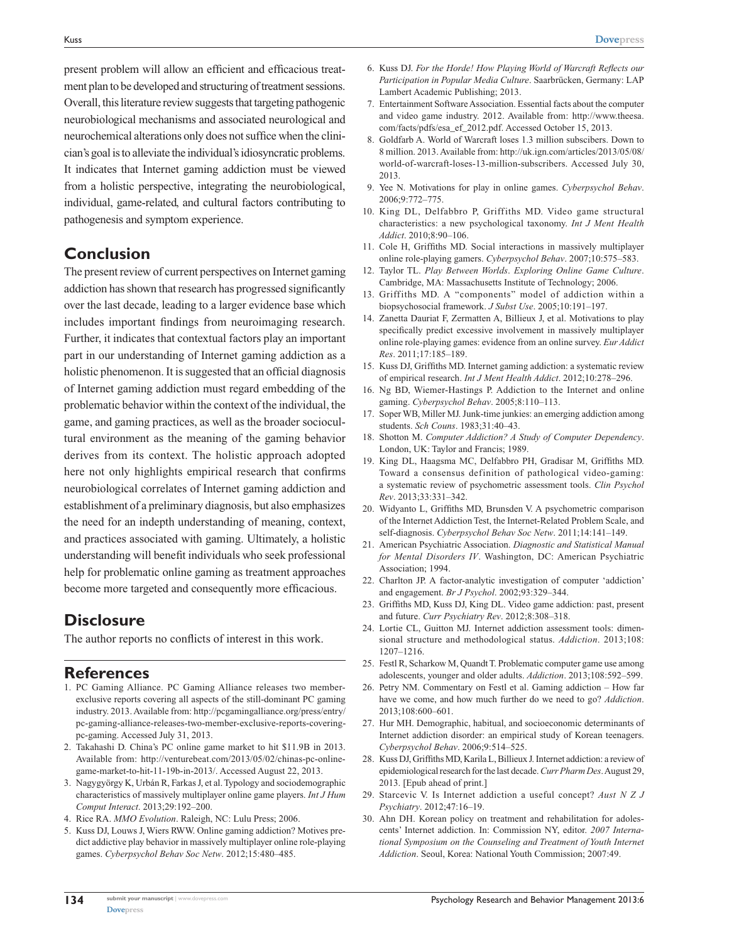present problem will allow an efficient and efficacious treatment plan to be developed and structuring of treatment sessions. Overall, this literature review suggests that targeting pathogenic neurobiological mechanisms and associated neurological and neurochemical alterations only does not suffice when the clinician's goal is to alleviate the individual's idiosyncratic problems. It indicates that Internet gaming addiction must be viewed from a holistic perspective, integrating the neurobiological, individual, game-related, and cultural factors contributing to pathogenesis and symptom experience.

# **Conclusion**

The present review of current perspectives on Internet gaming addiction has shown that research has progressed significantly over the last decade, leading to a larger evidence base which includes important findings from neuroimaging research. Further, it indicates that contextual factors play an important part in our understanding of Internet gaming addiction as a holistic phenomenon. It is suggested that an official diagnosis of Internet gaming addiction must regard embedding of the problematic behavior within the context of the individual, the game, and gaming practices, as well as the broader sociocultural environment as the meaning of the gaming behavior derives from its context. The holistic approach adopted here not only highlights empirical research that confirms neurobiological correlates of Internet gaming addiction and establishment of a preliminary diagnosis, but also emphasizes the need for an indepth understanding of meaning, context, and practices associated with gaming. Ultimately, a holistic understanding will benefit individuals who seek professional help for problematic online gaming as treatment approaches become more targeted and consequently more efficacious.

# **Disclosure**

The author reports no conflicts of interest in this work.

# **References**

- 1. PC Gaming Alliance. PC Gaming Alliance releases two memberexclusive reports covering all aspects of the still-dominant PC gaming industry. 2013. Available from: [http://pcgamingalliance.org/press/entry/](http://pcgamingalliance.org/press/entry/pc-gaming-alliance-releases-two-member-exclusive-reports-covering-pc-gaming.) [pc-gaming-alliance-releases-two-member-exclusive-reports-covering](http://pcgamingalliance.org/press/entry/pc-gaming-alliance-releases-two-member-exclusive-reports-covering-pc-gaming.)[pc-gaming.](http://pcgamingalliance.org/press/entry/pc-gaming-alliance-releases-two-member-exclusive-reports-covering-pc-gaming.) Accessed July 31, 2013.
- 2. Takahashi D. China's PC online game market to hit \$11.9B in 2013. Available from: [http://venturebeat.com/2013/05/02/chinas-pc-online](http://venturebeat.com/2013/05/02/chinas-pc-online-game-market-to-hit-11-19b-in-2013/)[game-market-to-hit-11-19b-in-2013/](http://venturebeat.com/2013/05/02/chinas-pc-online-game-market-to-hit-11-19b-in-2013/). Accessed August 22, 2013.
- 3. Nagygyörgy K, Urbán R, Farkas J, et al. Typology and sociodemographic characteristics of massively multiplayer online game players. *Int J Hum Comput Interact*. 2013;29:192–200.
- 4. Rice RA. *MMO Evolution*. Raleigh, NC: Lulu Press; 2006.
- 5. Kuss DJ, Louws J, Wiers RWW. Online gaming addiction? Motives predict addictive play behavior in massively multiplayer online role-playing games. *Cyberpsychol Behav Soc Netw*. 2012;15:480–485.
- 6. Kuss DJ. *For the Horde! How Playing World of Warcraft Reflects our Participation in Popular Media Culture*. Saarbrücken, Germany: LAP Lambert Academic Publishing; 2013.
- 7. Entertainment Software Association. Essential facts about the computer and video game industry. 2012. Available from: [http://www.theesa.](http://www.theesa.com/facts/pdfs/esa_ef_2012.pdf.) [com/facts/pdfs/esa\\_ef\\_2012.pdf.](http://www.theesa.com/facts/pdfs/esa_ef_2012.pdf.) Accessed October 15, 2013.
- 8. Goldfarb A. World of Warcraft loses 1.3 million subscibers. Down to 8 million. 2013. Available from: [http://uk.ign.com/articles/2013/05/08/](http://uk.ign.com/articles/2013/05/08/world-of-warcraft-loses-13-million-subscribers.) [world-of-warcraft-loses-13-million-subscribers.](http://uk.ign.com/articles/2013/05/08/world-of-warcraft-loses-13-million-subscribers.) Accessed July 30, 2013.
- 9. Yee N. Motivations for play in online games. *Cyberpsychol Behav*. 2006;9:772–775.
- 10. King DL, Delfabbro P, Griffiths MD. Video game structural characteristics: a new psychological taxonomy. *Int J Ment Health Addict*. 2010;8:90–106.
- 11. Cole H, Griffiths MD. Social interactions in massively multiplayer online role-playing gamers. *Cyberpsychol Behav*. 2007;10:575–583.
- 12. Taylor TL. *Play Between Worlds*. *Exploring Online Game Culture*. Cambridge, MA: Massachusetts Institute of Technology; 2006.
- 13. Griffiths MD. A "components" model of addiction within a biopsychosocial framework. *J Subst Use*. 2005;10:191–197.
- 14. Zanetta Dauriat F, Zermatten A, Billieux J, et al. Motivations to play specifically predict excessive involvement in massively multiplayer online role-playing games: evidence from an online survey. *Eur Addict Res*. 2011;17:185–189.
- 15. Kuss DJ, Griffiths MD. Internet gaming addiction: a systematic review of empirical research. *Int J Ment Health Addict*. 2012;10:278–296.
- 16. Ng BD, Wiemer-Hastings P. Addiction to the Internet and online gaming. *Cyberpsychol Behav*. 2005;8:110–113.
- 17. Soper WB, Miller MJ. Junk-time junkies: an emerging addiction among students. *Sch Couns*. 1983;31:40–43.
- 18. Shotton M. *Computer Addiction? A Study of Computer Dependency*. London, UK: Taylor and Francis; 1989.
- 19. King DL, Haagsma MC, Delfabbro PH, Gradisar M, Griffiths MD. Toward a consensus definition of pathological video-gaming: a systematic review of psychometric assessment tools. *Clin Psychol Rev*. 2013;33:331–342.
- 20. Widyanto L, Griffiths MD, Brunsden V. A psychometric comparison of the Internet Addiction Test, the Internet-Related Problem Scale, and self-diagnosis. *Cyberpsychol Behav Soc Netw*. 2011;14:141–149.
- 21. American Psychiatric Association. *Diagnostic and Statistical Manual for Mental Disorders IV*. Washington, DC: American Psychiatric Association; 1994.
- 22. Charlton JP. A factor-analytic investigation of computer 'addiction' and engagement. *Br J Psychol*. 2002;93:329–344.
- 23. Griffiths MD, Kuss DJ, King DL. Video game addiction: past, present and future. *Curr Psychiatry Rev*. 2012;8:308–318.
- 24. Lortie CL, Guitton MJ. Internet addiction assessment tools: dimensional structure and methodological status. *Addiction*. 2013;108: 1207–1216.
- 25. Festl R, Scharkow M, Quandt T. Problematic computer game use among adolescents, younger and older adults. *Addiction*. 2013;108:592–599.
- 26. Petry NM. Commentary on Festl et al. Gaming addiction How far have we come, and how much further do we need to go? *Addiction*. 2013;108:600–601.
- 27. Hur MH. Demographic, habitual, and socioeconomic determinants of Internet addiction disorder: an empirical study of Korean teenagers. *Cyberpsychol Behav*. 2006;9:514–525.
- 28. Kuss DJ, Griffiths MD, Karila L, Billieux J. Internet addiction: a review of epidemiological research for the last decade. *Curr Pharm Des*. August 29, 2013. [Epub ahead of print.]
- 29. Starcevic V. Is Internet addiction a useful concept? *Aust N Z J Psychiatry*. 2012;47:16–19.
- 30. Ahn DH. Korean policy on treatment and rehabilitation for adolescents' Internet addiction. In: Commission NY, editor. *2007 International Symposium on the Counseling and Treatment of Youth Internet Addiction*. Seoul, Korea: National Youth Commission; 2007:49.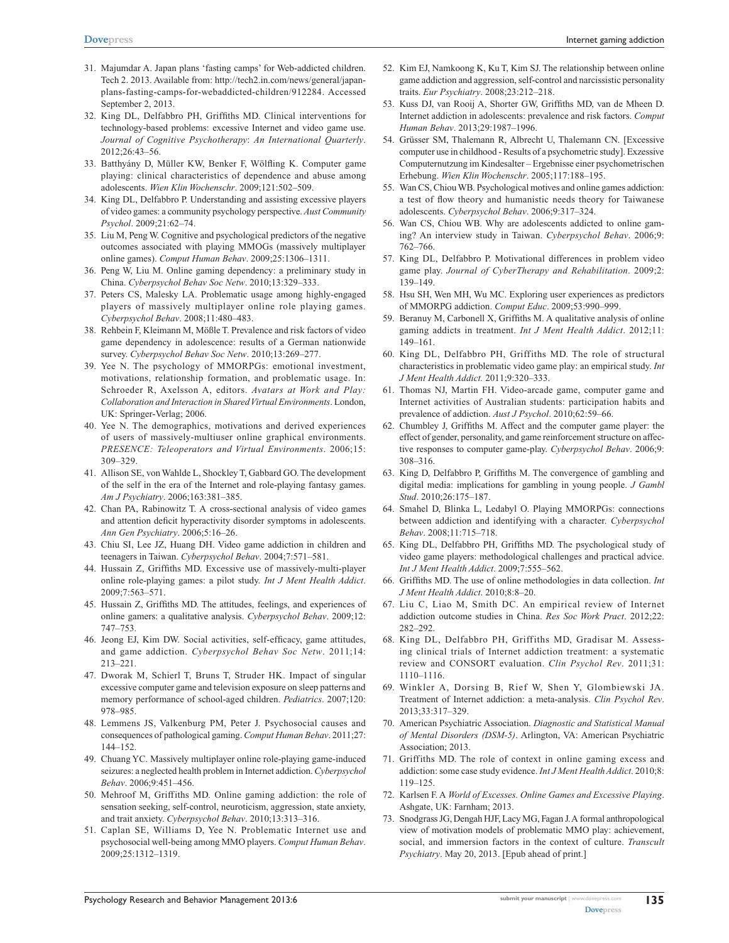- 31. Majumdar A. Japan plans 'fasting camps' for Web-addicted children. Tech 2. 2013. Available from: [http://tech2.in.com/news/general/japan](http://tech2.in.com/news/general/japan-plans-fasting-camps-for-webaddicted-children/912284.)[plans-fasting-camps-for-webaddicted-children/912284.](http://tech2.in.com/news/general/japan-plans-fasting-camps-for-webaddicted-children/912284.) Accessed September 2, 2013.
- 32. King DL, Delfabbro PH, Griffiths MD. Clinical interventions for technology-based problems: excessive Internet and video game use. *Journal of Cognitive Psychotherapy*: *An International Quarterly*. 2012;26:43–56.
- 33. Batthyány D, Müller KW, Benker F, Wölfling K. Computer game playing: clinical characteristics of dependence and abuse among adolescents. *Wien Klin Wochenschr*. 2009;121:502–509.
- 34. King DL, Delfabbro P. Understanding and assisting excessive players of video games: a community psychology perspective. *Aust Community Psychol*. 2009;21:62–74.
- 35. Liu M, Peng W. Cognitive and psychological predictors of the negative outcomes associated with playing MMOGs (massively multiplayer online games). *Comput Human Behav*. 2009;25:1306–1311.
- 36. Peng W, Liu M. Online gaming dependency: a preliminary study in China. *Cyberpsychol Behav Soc Netw*. 2010;13:329–333.
- 37. Peters CS, Malesky LA. Problematic usage among highly-engaged players of massively multiplayer online role playing games. *Cyberpsychol Behav*. 2008;11:480–483.
- 38. Rehbein F, Kleimann M, Mößle T. Prevalence and risk factors of video game dependency in adolescence: results of a German nationwide survey. *Cyberpsychol Behav Soc Netw*. 2010;13:269–277.
- 39. Yee N. The psychology of MMORPGs: emotional investment, motivations, relationship formation, and problematic usage. In: Schroeder R, Axelsson A, editors. *Avatars at Work and Play: Collaboration and Interaction in Shared Virtual Environments*. London, UK: Springer-Verlag; 2006.
- 40. Yee N. The demographics, motivations and derived experiences of users of massively-multiuser online graphical environments. *PRESENCE: Teleoperators and Virtual Environments*. 2006;15: 309–329.
- 41. Allison SE, von Wahlde L, Shockley T, Gabbard GO. The development of the self in the era of the Internet and role-playing fantasy games. *Am J Psychiatry*. 2006;163:381–385.
- 42. Chan PA, Rabinowitz T. A cross-sectional analysis of video games and attention deficit hyperactivity disorder symptoms in adolescents. *Ann Gen Psychiatry*. 2006;5:16–26.
- 43. Chiu SI, Lee JZ, Huang DH. Video game addiction in children and teenagers in Taiwan. *Cyberpsychol Behav*. 2004;7:571–581.
- 44. Hussain Z, Griffiths MD. Excessive use of massively-multi-player online role-playing games: a pilot study. *Int J Ment Health Addict*. 2009;7:563–571.
- 45. Hussain Z, Griffiths MD. The attitudes, feelings, and experiences of online gamers: a qualitative analysis. *Cyberpsychol Behav*. 2009;12: 747–753.
- 46. Jeong EJ, Kim DW. Social activities, self-efficacy, game attitudes, and game addiction. *Cyberpsychol Behav Soc Netw*. 2011;14: 213–221.
- 47. Dworak M, Schierl T, Bruns T, Struder HK. Impact of singular excessive computer game and television exposure on sleep patterns and memory performance of school-aged children. *Pediatrics*. 2007;120: 978–985.
- 48. Lemmens JS, Valkenburg PM, Peter J. Psychosocial causes and consequences of pathological gaming. *Comput Human Behav*. 2011;27: 144–152.
- 49. Chuang YC. Massively multiplayer online role-playing game-induced seizures: a neglected health problem in Internet addiction. *Cyberpsychol Behav*. 2006;9:451–456.
- 50. Mehroof M, Griffiths MD. Online gaming addiction: the role of sensation seeking, self-control, neuroticism, aggression, state anxiety, and trait anxiety. *Cyberpsychol Behav*. 2010;13:313–316.
- 51. Caplan SE, Williams D, Yee N. Problematic Internet use and psychosocial well-being among MMO players. *Comput Human Behav*. 2009;25:1312–1319.
- 52. Kim EJ, Namkoong K, Ku T, Kim SJ. The relationship between online game addiction and aggression, self-control and narcissistic personality traits. *Eur Psychiatry*. 2008;23:212–218.
- 53. Kuss DJ, van Rooij A, Shorter GW, Griffiths MD, van de Mheen D. Internet addiction in adolescents: prevalence and risk factors. *Comput Human Behav*. 2013;29:1987–1996.
- 54. Grüsser SM, Thalemann R, Albrecht U, Thalemann CN. [Excessive computer use in childhood - Results of a psychometric study]. Exzessive Computernutzung im Kindesalter – Ergebnisse einer psychometrischen Erhebung. *Wien Klin Wochenschr*. 2005;117:188–195.
- 55. Wan CS, Chiou WB. Psychological motives and online games addiction: a test of flow theory and humanistic needs theory for Taiwanese adolescents. *Cyberpsychol Behav*. 2006;9:317–324.
- 56. Wan CS, Chiou WB. Why are adolescents addicted to online gaming? An interview study in Taiwan. *Cyberpsychol Behav*. 2006;9: 762–766.
- 57. King DL, Delfabbro P. Motivational differences in problem video game play. *Journal of CyberTherapy and Rehabilitation*. 2009;2: 139–149.
- 58. Hsu SH, Wen MH, Wu MC. Exploring user experiences as predictors of MMORPG addiction. *Comput Educ*. 2009;53:990–999.
- 59. Beranuy M, Carbonell X, Griffiths M. A qualitative analysis of online gaming addicts in treatment. *Int J Ment Health Addict*. 2012;11: 149–161.
- 60. King DL, Delfabbro PH, Griffiths MD. The role of structural characteristics in problematic video game play: an empirical study. *Int J Ment Health Addict.* 2011;9:320–333.
- 61. Thomas NJ, Martin FH. Video-arcade game, computer game and Internet activities of Australian students: participation habits and prevalence of addiction. *Aust J Psychol*. 2010;62:59–66.
- 62. Chumbley J, Griffiths M. Affect and the computer game player: the effect of gender, personality, and game reinforcement structure on affective responses to computer game-play. *Cyberpsychol Behav*. 2006;9: 308–316.
- 63. King D, Delfabbro P, Griffiths M. The convergence of gambling and digital media: implications for gambling in young people. *J Gambl Stud*. 2010;26:175–187.
- 64. Smahel D, Blinka L, Ledabyl O. Playing MMORPGs: connections between addiction and identifying with a character. *Cyberpsychol Behav*. 2008;11:715–718.
- 65. King DL, Delfabbro PH, Griffiths MD. The psychological study of video game players: methodological challenges and practical advice. *Int J Ment Health Addict*. 2009;7:555–562.
- 66. Griffiths MD. The use of online methodologies in data collection. *Int J Ment Health Addict*. 2010;8:8–20.
- 67. Liu C, Liao M, Smith DC. An empirical review of Internet addiction outcome studies in China. *Res Soc Work Pract*. 2012;22: 282–292.
- 68. King DL, Delfabbro PH, Griffiths MD, Gradisar M. Assessing clinical trials of Internet addiction treatment: a systematic review and CONSORT evaluation. *Clin Psychol Rev*. 2011;31: 1110–1116.
- 69. Winkler A, Dorsing B, Rief W, Shen Y, Glombiewski JA. Treatment of Internet addiction: a meta-analysis. *Clin Psychol Rev*. 2013;33:317–329.
- 70. American Psychiatric Association. *Diagnostic and Statistical Manual of Mental Disorders (DSM-5)*. Arlington, VA: American Psychiatric Association; 2013.
- 71. Griffiths MD. The role of context in online gaming excess and addiction: some case study evidence. *Int J Ment Health Addict*. 2010;8: 119–125.
- 72. Karlsen F. A *World of Excesses. Online Games and Excessive Playing*. Ashgate, UK: Farnham; 2013.
- 73. Snodgrass JG, Dengah HJF, Lacy MG, Fagan J. A formal anthropological view of motivation models of problematic MMO play: achievement, social, and immersion factors in the context of culture. *Transcult Psychiatry*. May 20, 2013. [Epub ahead of print.]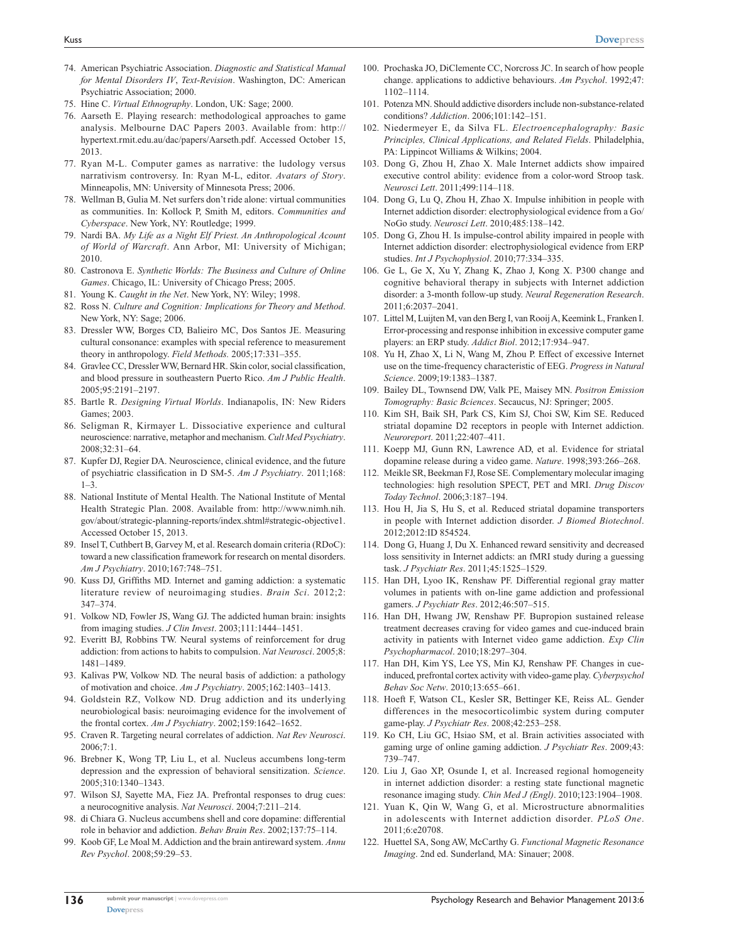- 74. American Psychiatric Association. *Diagnostic and Statistical Manual for Mental Disorders IV*, *Text-Revision*. Washington, DC: American Psychiatric Association; 2000.
- 75. Hine C. *Virtual Ethnography*. London, UK: Sage; 2000.
- 76. Aarseth E. Playing research: methodological approaches to game analysis. Melbourne DAC Papers 2003. Available from: [http://](http://hypertext.rmit.edu.au/dac/papers/Aarseth.pdf.) [hypertext.rmit.edu.au/dac/papers/Aarseth.pdf.](http://hypertext.rmit.edu.au/dac/papers/Aarseth.pdf.) Accessed October 15, 2013.
- 77. Ryan M-L. Computer games as narrative: the ludology versus narrativism controversy. In: Ryan M-L, editor. *Avatars of Story*. Minneapolis, MN: University of Minnesota Press; 2006.
- 78. Wellman B, Gulia M. Net surfers don't ride alone: virtual communities as communities. In: Kollock P, Smith M, editors. *Communities and Cyberspace*. New York, NY: Routledge; 1999.
- 79. Nardi BA. *My Life as a Night Elf Priest. An Anthropological Acount of World of Warcraft*. Ann Arbor, MI: University of Michigan; 2010.
- 80. Castronova E. *Synthetic Worlds: The Business and Culture of Online Games*. Chicago, IL: University of Chicago Press; 2005.
- 81. Young K. *Caught in the Net*. New York, NY: Wiley; 1998.
- 82. Ross N. *Culture and Cognition: Implications for Theory and Method*. New York, NY: Sage; 2006.
- 83. Dressler WW, Borges CD, Balieiro MC, Dos Santos JE. Measuring cultural consonance: examples with special reference to measurement theory in anthropology. *Field Methods.* 2005;17:331–355.
- 84. Gravlee CC, Dressler WW, Bernard HR. Skin color, social classification, and blood pressure in southeastern Puerto Rico. *Am J Public Health*. 2005;95:2191–2197.
- 85. Bartle R. *Designing Virtual Worlds*. Indianapolis, IN: New Riders Games; 2003.
- 86. Seligman R, Kirmayer L. Dissociative experience and cultural neuroscience: narrative, metaphor and mechanism. *Cult Med Psychiatry*. 2008;32:31–64.
- 87. Kupfer DJ, Regier DA. Neuroscience, clinical evidence, and the future of psychiatric classification in D SM-5. *Am J Psychiatry*. 2011;168:  $1 - 3$
- 88. National Institute of Mental Health. The National Institute of Mental Health Strategic Plan. 2008. Available from: [http://www.nimh.nih.](http://www.nimh.nih.gov/about/strategic-planning-reports/index.shtml#strategic-objective1) [gov/about/strategic-planning-reports/index.shtml#strategic-objective1](http://www.nimh.nih.gov/about/strategic-planning-reports/index.shtml#strategic-objective1). Accessed October 15, 2013.
- 89. Insel T, Cuthbert B, Garvey M, et al. Research domain criteria (RDoC): toward a new classification framework for research on mental disorders. *Am J Psychiatry*. 2010;167:748–751.
- 90. Kuss DJ, Griffiths MD. Internet and gaming addiction: a systematic literature review of neuroimaging studies. *Brain Sci*. 2012;2: 347–374.
- 91. Volkow ND, Fowler JS, Wang GJ. The addicted human brain: insights from imaging studies. *J Clin Invest*. 2003;111:1444–1451.
- 92. Everitt BJ, Robbins TW. Neural systems of reinforcement for drug addiction: from actions to habits to compulsion. *Nat Neurosci*. 2005;8: 1481–1489.
- 93. Kalivas PW, Volkow ND. The neural basis of addiction: a pathology of motivation and choice. *Am J Psychiatry*. 2005;162:1403–1413.
- 94. Goldstein RZ, Volkow ND. Drug addiction and its underlying neurobiological basis: neuroimaging evidence for the involvement of the frontal cortex. *Am J Psychiatry*. 2002;159:1642–1652.
- 95. Craven R. Targeting neural correlates of addiction. *Nat Rev Neurosci*. 2006;7:1.
- 96. Brebner K, Wong TP, Liu L, et al. Nucleus accumbens long-term depression and the expression of behavioral sensitization. *Science*. 2005;310:1340–1343.
- 97. Wilson SJ, Sayette MA, Fiez JA. Prefrontal responses to drug cues: a neurocognitive analysis. *Nat Neurosci*. 2004;7:211–214.
- 98. di Chiara G. Nucleus accumbens shell and core dopamine: differential role in behavior and addiction. *Behav Brain Res*. 2002;137:75–114.
- 99. Koob GF, Le Moal M. Addiction and the brain antireward system. *Annu Rev Psychol*. 2008;59:29–53.
- 100. Prochaska JO, DiClemente CC, Norcross JC. In search of how people change. applications to addictive behaviours. *Am Psychol*. 1992;47: 1102–1114.
- 101. Potenza MN. Should addictive disorders include non-substance-related conditions? *Addiction*. 2006;101:142–151.
- 102. Niedermeyer E, da Silva FL. *Electroencephalography: Basic Principles, Clinical Applications, and Related Fields*. Philadelphia, PA: Lippincot Williams & Wilkins; 2004.
- 103. Dong G, Zhou H, Zhao X. Male Internet addicts show impaired executive control ability: evidence from a color-word Stroop task. *Neurosci Lett*. 2011;499:114–118.
- 104. Dong G, Lu Q, Zhou H, Zhao X. Impulse inhibition in people with Internet addiction disorder: electrophysiological evidence from a Go/ NoGo study. *Neurosci Lett*. 2010;485:138–142.
- 105. Dong G, Zhou H. Is impulse-control ability impaired in people with Internet addiction disorder: electrophysiological evidence from ERP studies. *Int J Psychophysiol*. 2010;77:334–335.
- 106. Ge L, Ge X, Xu Y, Zhang K, Zhao J, Kong X. P300 change and cognitive behavioral therapy in subjects with Internet addiction disorder: a 3-month follow-up study. *Neural Regeneration Research*. 2011;6:2037–2041.
- 107. Littel M, Luijten M, van den Berg I, van Rooij A, Keemink L, Franken I. Error-processing and response inhibition in excessive computer game players: an ERP study. *Addict Biol*. 2012;17:934–947.
- 108. Yu H, Zhao X, Li N, Wang M, Zhou P. Effect of excessive Internet use on the time-frequency characteristic of EEG. *Progress in Natural Science*. 2009;19:1383–1387.
- 109. Bailey DL, Townsend DW, Valk PE, Maisey MN. *Positron Emission Tomography: Basic Bciences*. Secaucus, NJ: Springer; 2005.
- 110. Kim SH, Baik SH, Park CS, Kim SJ, Choi SW, Kim SE. Reduced striatal dopamine D2 receptors in people with Internet addiction. *Neuroreport*. 2011;22:407–411.
- 111. Koepp MJ, Gunn RN, Lawrence AD, et al. Evidence for striatal dopamine release during a video game. *Nature*. 1998;393:266–268.
- 112. Meikle SR, Beekman FJ, Rose SE. Complementary molecular imaging technologies: high resolution SPECT, PET and MRI. *Drug Discov Today Technol*. 2006;3:187–194.
- 113. Hou H, Jia S, Hu S, et al. Reduced striatal dopamine transporters in people with Internet addiction disorder. *J Biomed Biotechnol*. 2012;2012:ID 854524.
- 114. Dong G, Huang J, Du X. Enhanced reward sensitivity and decreased loss sensitivity in Internet addicts: an fMRI study during a guessing task. *J Psychiatr Res*. 2011;45:1525–1529.
- 115. Han DH, Lyoo IK, Renshaw PF. Differential regional gray matter volumes in patients with on-line game addiction and professional gamers. *J Psychiatr Res*. 2012;46:507–515.
- 116. Han DH, Hwang JW, Renshaw PF. Bupropion sustained release treatment decreases craving for video games and cue-induced brain activity in patients with Internet video game addiction. *Exp Clin Psychopharmacol*. 2010;18:297–304.
- 117. Han DH, Kim YS, Lee YS, Min KJ, Renshaw PF. Changes in cueinduced, prefrontal cortex activity with video-game play. *Cyberpsychol Behav Soc Netw*. 2010;13:655–661.
- 118. Hoeft F, Watson CL, Kesler SR, Bettinger KE, Reiss AL. Gender differences in the mesocorticolimbic system during computer game-play. *J Psychiatr Res*. 2008;42:253–258.
- 119. Ko CH, Liu GC, Hsiao SM, et al. Brain activities associated with gaming urge of online gaming addiction. *J Psychiatr Res*. 2009;43: 739–747.
- 120. Liu J, Gao XP, Osunde I, et al. Increased regional homogeneity in internet addiction disorder: a resting state functional magnetic resonance imaging study. *Chin Med J (Engl)*. 2010;123:1904–1908.
- 121. Yuan K, Qin W, Wang G, et al. Microstructure abnormalities in adolescents with Internet addiction disorder. *PLoS One*. 2011;6:e20708.
- 122. Huettel SA, Song AW, McCarthy G. *Functional Magnetic Resonance Imaging*. 2nd ed. Sunderland, MA: Sinauer; 2008.